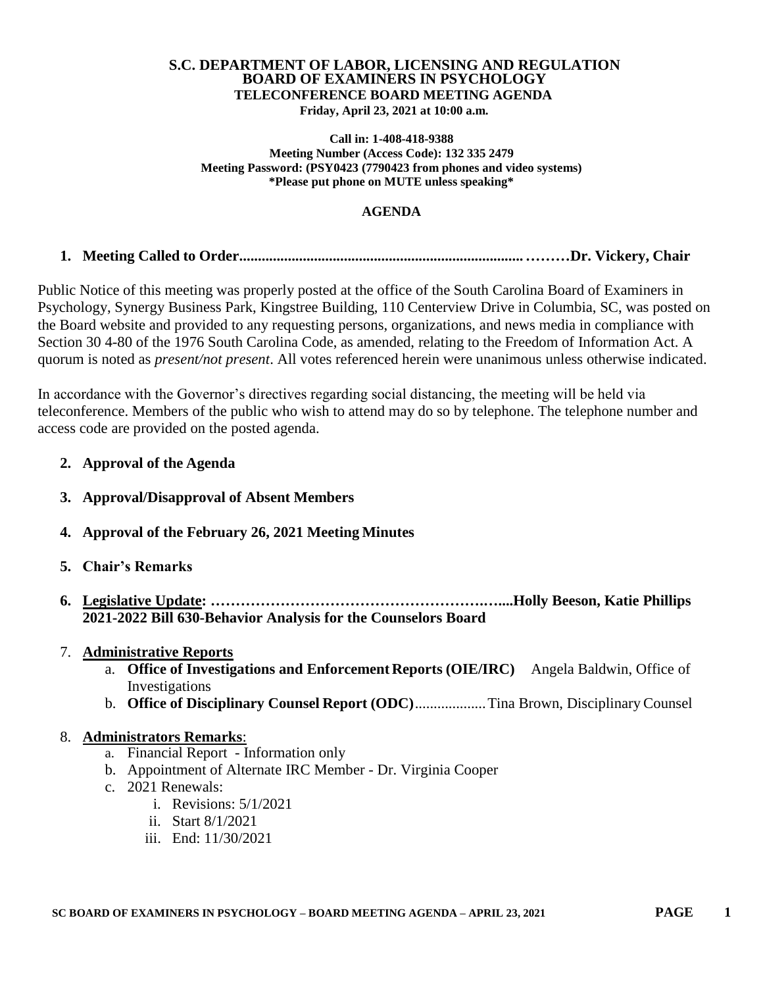#### **S.C. DEPARTMENT OF LABOR, LICENSING AND REGULATION BOARD OF EXAMINERS IN PSYCHOLOGY TELECONFERENCE BOARD MEETING AGENDA Friday, April 23, 2021 at 10:00 a.m.**

#### **Call in: 1-408-418-9388 Meeting Number (Access Code): 132 335 2479 Meeting Password: (PSY0423 (7790423 from phones and video systems) \*Please put phone on MUTE unless speaking\***

### **AGENDA**

# **1. Meeting Called to Order............................................................................………Dr. Vickery, Chair**

Public Notice of this meeting was properly posted at the office of the South Carolina Board of Examiners in Psychology, Synergy Business Park, Kingstree Building, 110 Centerview Drive in Columbia, SC, was posted on the Board website and provided to any requesting persons, organizations, and news media in compliance with Section 30 4-80 of the 1976 South Carolina Code, as amended, relating to the Freedom of Information Act. A quorum is noted as *present/not present*. All votes referenced herein were unanimous unless otherwise indicated.

In accordance with the Governor's directives regarding social distancing, the meeting will be held via teleconference. Members of the public who wish to attend may do so by telephone. The telephone number and access code are provided on the posted agenda.

# **2. Approval of the Agenda**

- **3. Approval/Disapproval of Absent Members**
- **4. Approval of the February 26, 2021 Meeting Minutes**
- **5. Chair's Remarks**
- **6. Legislative Update: ……………………………………………….…....Holly Beeson, Katie Phillips 2021-2022 Bill 630-Behavior Analysis for the Counselors Board**

# 7. **Administrative Reports**

- a. **Office of Investigations and Enforcement Reports (OIE/IRC)** Angela Baldwin, Office of Investigations
- b. **Office of Disciplinary Counsel Report (ODC)**...................Tina Brown, Disciplinary Counsel

# 8. **Administrators Remarks**:

- a. Financial Report Information only
- b. Appointment of Alternate IRC Member Dr. Virginia Cooper
- c. 2021 Renewals:
	- i. Revisions: 5/1/2021
	- ii. Start 8/1/2021
	- iii. End: 11/30/2021